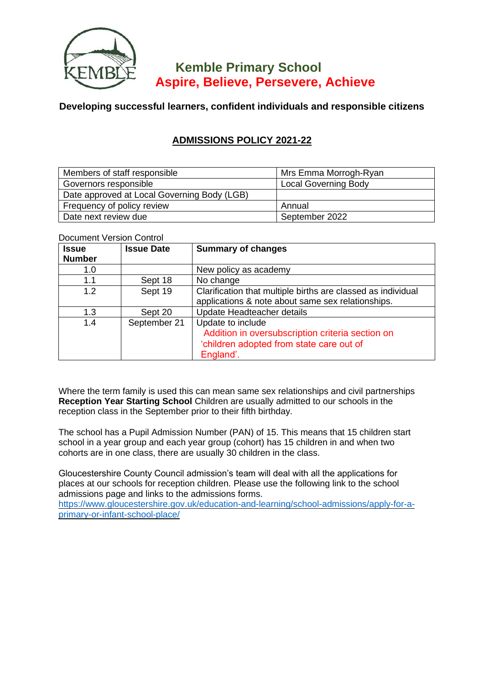

# **Kemble Primary School Aspire, Believe, Persevere, Achieve**

## **Developing successful learners, confident individuals and responsible citizens**

# **ADMISSIONS POLICY 2021-22**

| Members of staff responsible                | Mrs Emma Morrogh-Ryan       |  |
|---------------------------------------------|-----------------------------|--|
| Governors responsible                       | <b>Local Governing Body</b> |  |
| Date approved at Local Governing Body (LGB) |                             |  |
| Frequency of policy review                  | Annual                      |  |
| Date next review due                        | September 2022              |  |

### Document Version Control

| <b>Issue</b>  | <b>Issue Date</b> | <b>Summary of changes</b>                                    |
|---------------|-------------------|--------------------------------------------------------------|
| <b>Number</b> |                   |                                                              |
| 1.0           |                   | New policy as academy                                        |
| 1.1           | Sept 18           | No change                                                    |
| 1.2           | Sept 19           | Clarification that multiple births are classed as individual |
|               |                   | applications & note about same sex relationships.            |
| 1.3           | Sept 20           | Update Headteacher details                                   |
| 1.4           | September 21      | Update to include                                            |
|               |                   | Addition in oversubscription criteria section on             |
|               |                   | 'children adopted from state care out of                     |
|               |                   | England'.                                                    |

Where the term family is used this can mean same sex relationships and civil partnerships **Reception Year Starting School** Children are usually admitted to our schools in the reception class in the September prior to their fifth birthday.

The school has a Pupil Admission Number (PAN) of 15. This means that 15 children start school in a year group and each year group (cohort) has 15 children in and when two cohorts are in one class, there are usually 30 children in the class.

Gloucestershire County Council admission's team will deal with all the applications for places at our schools for reception children. Please use the following link to the school admissions page and links to the admissions forms.

[https://www.gloucestershire.gov.uk/education-and-learning/school-admissions/apply-for-a](https://www.gloucestershire.gov.uk/education-and-learning/school-admissions/apply-for-a-primary-or-infant-school-place/)[primary-or-infant-school-place/](https://www.gloucestershire.gov.uk/education-and-learning/school-admissions/apply-for-a-primary-or-infant-school-place/)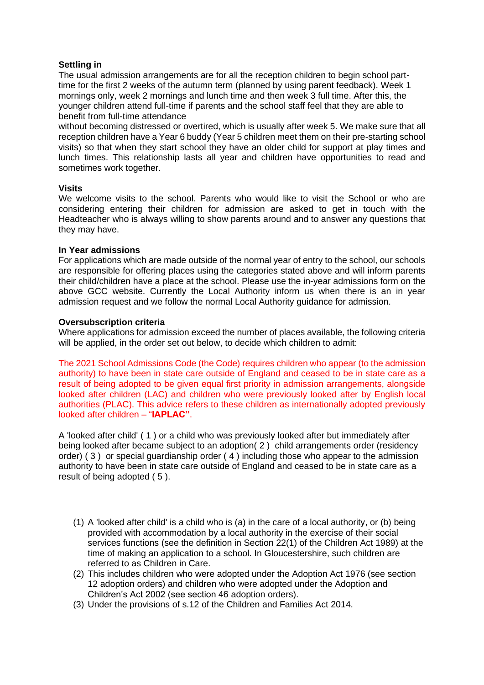#### **Settling in**

The usual admission arrangements are for all the reception children to begin school parttime for the first 2 weeks of the autumn term (planned by using parent feedback). Week 1 mornings only, week 2 mornings and lunch time and then week 3 full time. After this, the younger children attend full-time if parents and the school staff feel that they are able to benefit from full-time attendance

without becoming distressed or overtired, which is usually after week 5. We make sure that all reception children have a Year 6 buddy (Year 5 children meet them on their pre-starting school visits) so that when they start school they have an older child for support at play times and lunch times. This relationship lasts all year and children have opportunities to read and sometimes work together.

#### **Visits**

We welcome visits to the school. Parents who would like to visit the School or who are considering entering their children for admission are asked to get in touch with the Headteacher who is always willing to show parents around and to answer any questions that they may have.

#### **In Year admissions**

For applications which are made outside of the normal year of entry to the school, our schools are responsible for offering places using the categories stated above and will inform parents their child/children have a place at the school. Please use the in-year admissions form on the above GCC website. Currently the Local Authority inform us when there is an in year admission request and we follow the normal Local Authority guidance for admission.

#### **Oversubscription criteria**

Where applications for admission exceed the number of places available, the following criteria will be applied, in the order set out below, to decide which children to admit:

The 2021 School Admissions Code (the Code) requires children who appear (to the admission authority) to have been in state care outside of England and ceased to be in state care as a result of being adopted to be given equal first priority in admission arrangements, alongside looked after children (LAC) and children who were previously looked after by English local authorities (PLAC). This advice refers to these children as internationally adopted previously looked after children – "**IAPLAC"**.

A 'looked after child' ( 1 ) or a child who was previously looked after but immediately after being looked after became subject to an adoption( 2 ) child arrangements order (residency order) ( 3 ) or special guardianship order ( 4 ) including those who appear to the admission authority to have been in state care outside of England and ceased to be in state care as a result of being adopted ( 5 ).

- (1) A 'looked after child' is a child who is (a) in the care of a local authority, or (b) being provided with accommodation by a local authority in the exercise of their social services functions (see the definition in Section 22(1) of the Children Act 1989) at the time of making an application to a school. In Gloucestershire, such children are referred to as Children in Care.
- (2) This includes children who were adopted under the Adoption Act 1976 (see section 12 adoption orders) and children who were adopted under the Adoption and Children's Act 2002 (see section 46 adoption orders).
- (3) Under the provisions of s.12 of the Children and Families Act 2014.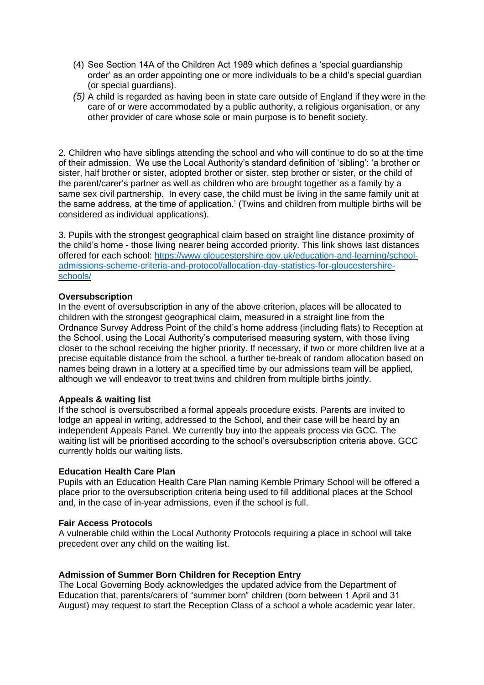- (4) See Section 14A of the Children Act 1989 which defines a 'special guardianship order' as an order appointing one or more individuals to be a child's special guardian (or special guardians).
- *(5)* A child is regarded as having been in state care outside of England if they were in the care of or were accommodated by a public authority, a religious organisation, or any other provider of care whose sole or main purpose is to benefit society.

2. Children who have siblings attending the school and who will continue to do so at the time of their admission. We use the Local Authority's standard definition of 'sibling': 'a brother or sister, half brother or sister, adopted brother or sister, step brother or sister, or the child of the parent/carer's partner as well as children who are brought together as a family by a same sex civil partnership. In every case, the child must be living in the same family unit at the same address, at the time of application.' (Twins and children from multiple births will be considered as individual applications).

3. Pupils with the strongest geographical claim based on straight line distance proximity of the child's home - those living nearer being accorded priority. This link shows last distances offered for each school: [https://www.gloucestershire.gov.uk/education-and-learning/school](https://www.gloucestershire.gov.uk/education-and-learning/school-admissions-scheme-criteria-and-protocol/allocation-day-statistics-for-gloucestershire-schools/)[admissions-scheme-criteria-and-protocol/allocation-day-statistics-for-gloucestershire](https://www.gloucestershire.gov.uk/education-and-learning/school-admissions-scheme-criteria-and-protocol/allocation-day-statistics-for-gloucestershire-schools/)[schools/](https://www.gloucestershire.gov.uk/education-and-learning/school-admissions-scheme-criteria-and-protocol/allocation-day-statistics-for-gloucestershire-schools/)

#### **Oversubscription**

In the event of oversubscription in any of the above criterion, places will be allocated to children with the strongest geographical claim, measured in a straight line from the Ordnance Survey Address Point of the child's home address (including flats) to Reception at the School, using the Local Authority's computerised measuring system, with those living closer to the school receiving the higher priority. If necessary, if two or more children live at a precise equitable distance from the school, a further tie-break of random allocation based on names being drawn in a lottery at a specified time by our admissions team will be applied, although we will endeavor to treat twins and children from multiple births jointly.

#### **Appeals & waiting list**

If the school is oversubscribed a formal appeals procedure exists. Parents are invited to lodge an appeal in writing, addressed to the School, and their case will be heard by an independent Appeals Panel. We currently buy into the appeals process via GCC. The waiting list will be prioritised according to the school's oversubscription criteria above. GCC currently holds our waiting lists.

#### **Education Health Care Plan**

Pupils with an Education Health Care Plan naming Kemble Primary School will be offered a place prior to the oversubscription criteria being used to fill additional places at the School and, in the case of in-year admissions, even if the school is full.

#### **Fair Access Protocols**

A vulnerable child within the Local Authority Protocols requiring a place in school will take precedent over any child on the waiting list.

#### **Admission of Summer Born Children for Reception Entry**

The Local Governing Body acknowledges the updated advice from the Department of Education that, parents/carers of "summer born" children (born between 1 April and 31 August) may request to start the Reception Class of a school a whole academic year later.